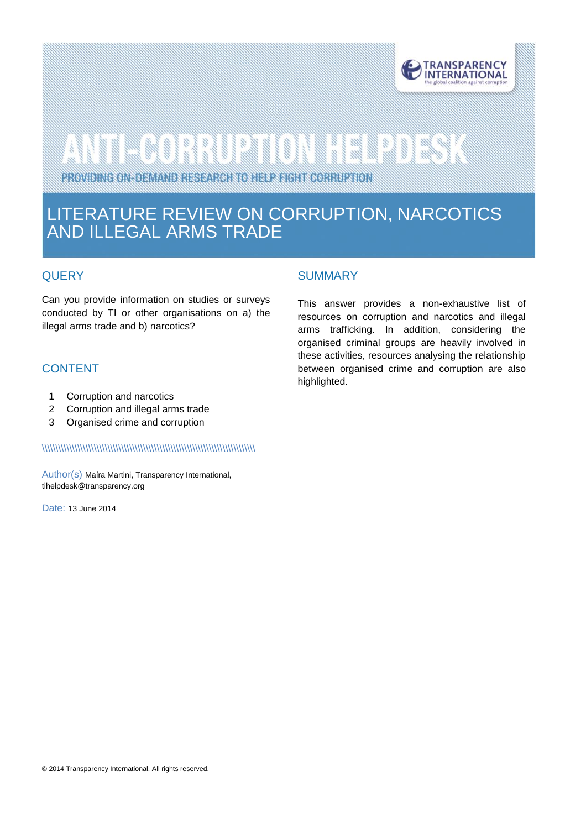

# 

PROVIDING ON DEMAND RESEARCH TO HELP FIGHT CORRUPTION

### LITERATURE REVIEW ON CORRUPTION, NARCOTICS AND ILLEGAL ARMS TRADE

#### **QUERY**

see.

Can you provide information on studies or surveys conducted by TI or other organisations on a) the illegal arms trade and b) narcotics?

#### **CONTENT**

- 1 Corruption and narcotics
- 2 Corruption and illegal arms trade
- 3 Organised crime and corruption

#### \\\\\\\\\\\\\\\\\\\\\\\\\\\\\\\\\\\\\\\\\\\\\\\\\\\\\\\\\\\\\\\\\\\\\\\\\\\\\\

Author(s) Maíra Martini, Transparency International, tihelpdes[k@transparency.org](mailto:mchene@transparency.org%20?subject=U4%20Expert%20Answer)

Date: 13 June 2014

#### **SUMMARY**

This answer provides a non-exhaustive list of resources on corruption and narcotics and illegal arms trafficking. In addition, considering the organised criminal groups are heavily involved in these activities, resources analysing the relationship between organised crime and corruption are also highlighted.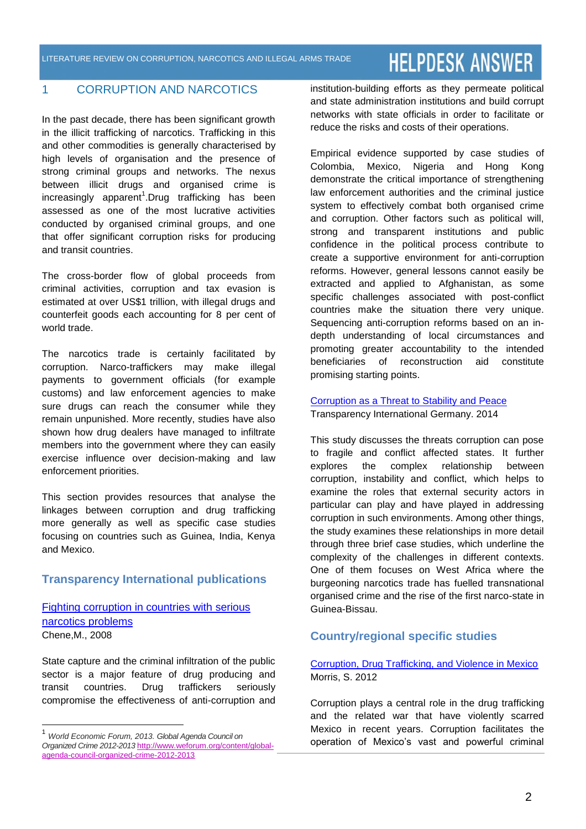#### 1 CORRUPTION AND NARCOTICS

In the past decade, there has been significant growth in the illicit trafficking of narcotics. Trafficking in this and other commodities is generally characterised by high levels of organisation and the presence of strong criminal groups and networks. The nexus between illicit drugs and organised crime is increasingly apparent<sup>1</sup>.Drug trafficking has been assessed as one of the most lucrative activities conducted by organised criminal groups, and one that offer significant corruption risks for producing and transit countries.

The cross-border flow of global proceeds from criminal activities, corruption and tax evasion is estimated at over US\$1 trillion, with illegal drugs and counterfeit goods each accounting for 8 per cent of world trade.

The narcotics trade is certainly facilitated by corruption. Narco-traffickers may make illegal payments to government officials (for example customs) and law enforcement agencies to make sure drugs can reach the consumer while they remain unpunished. More recently, studies have also shown how drug dealers have managed to infiltrate members into the government where they can easily exercise influence over decision-making and law enforcement priorities.

This section provides resources that analyse the linkages between corruption and drug trafficking more generally as well as specific case studies focusing on countries such as Guinea, India, Kenya and Mexico.

#### **Transparency International publications**

[Fighting corruption in countries with](http://www.u4.no/publications/fighting-corruption-in-countries-with-serious-narcotics-problems/) serious [narcotics problems](http://www.u4.no/publications/fighting-corruption-in-countries-with-serious-narcotics-problems/) Chene,M., 2008

State capture and the criminal infiltration of the public sector is a major feature of drug producing and transit countries. Drug traffickers seriously compromise the effectiveness of anti-corruption and

 $\overline{\phantom{a}}$ 

institution-building efforts as they permeate political and state administration institutions and build corrupt networks with state officials in order to facilitate or reduce the risks and costs of their operations.

Empirical evidence supported by case studies of Colombia, Mexico, Nigeria and Hong Kong demonstrate the critical importance of strengthening law enforcement authorities and the criminal justice system to effectively combat both organised crime and corruption. Other factors such as political will, strong and transparent institutions and public confidence in the political process contribute to create a supportive environment for anti-corruption reforms. However, general lessons cannot easily be extracted and applied to Afghanistan, as some specific challenges associated with post-conflict countries make the situation there very unique. Sequencing anti-corruption reforms based on an indepth understanding of local circumstances and promoting greater accountability to the intended beneficiaries of reconstruction aid constitute promising starting points.

[Corruption as a Threat to Stability and Peace](http://www.transparency.de/fileadmin/pdfs/Wissen/Publikationen/Study_Corruption_as_a_Threat_to_Stability_and_Peace.pdf) Transparency International Germany. 2014

This study discusses the threats corruption can pose to fragile and conflict affected states. It further explores the complex relationship between corruption, instability and conflict, which helps to examine the roles that external security actors in particular can play and have played in addressing corruption in such environments. Among other things, the study examines these relationships in more detail through three brief case studies, which underline the complexity of the challenges in different contexts. One of them focuses on West Africa where the burgeoning narcotics trade has fuelled transnational organised crime and the rise of the first narco-state in Guinea-Bissau.

#### **Country/regional specific studies**

#### [Corruption, Drug Trafficking, and Violence in Mexico](http://www.mtsu.edu/politicalscience/faculty/documents/Corruption%20Brown%20article%20Morris.pdf) Morris, S. 2012

Corruption plays a central role in the drug trafficking and the related war that have violently scarred Mexico in recent years. Corruption facilitates the operation of Mexico's vast and powerful criminal

<sup>1</sup> *World Economic Forum, 2013. Global Agenda Council on Organized Crime 2012-2013* [http://www.weforum.org/content/global](http://www.weforum.org/content/global-agenda-council-organized-crime-2012-2013)[agenda-council-organized-crime-2012-2013](http://www.weforum.org/content/global-agenda-council-organized-crime-2012-2013)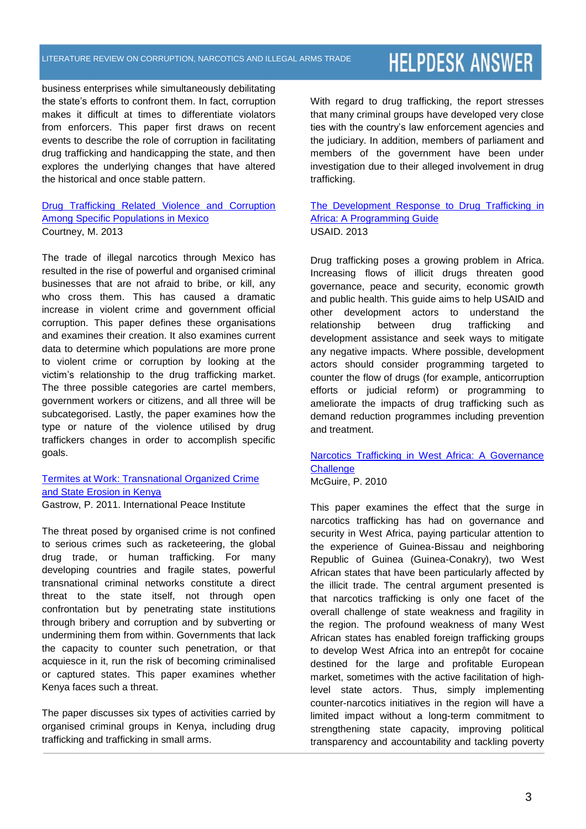#### LITERATURE REVIEW ON CORRUPTION, NARCOTICS AND ILLEGAL ARMS TRADE

### **HELPDESK ANSWER**

business enterprises while simultaneously debilitating the state's efforts to confront them. In fact, corruption makes it difficult at times to differentiate violators from enforcers. This paper first draws on recent events to describe the role of corruption in facilitating drug trafficking and handicapping the state, and then explores the underlying changes that have altered the historical and once stable pattern.

#### [Drug Trafficking Related Violence and Corruption](http://encompass.eku.edu/cgi/viewcontent.cgi?article=1112&context=honors_theses)  [Among Specific Populations in Mexico](http://encompass.eku.edu/cgi/viewcontent.cgi?article=1112&context=honors_theses) Courtney, M. 2013

The trade of illegal narcotics through Mexico has resulted in the rise of powerful and organised criminal businesses that are not afraid to bribe, or kill, any who cross them. This has caused a dramatic increase in violent crime and government official corruption. This paper defines these organisations and examines their creation. It also examines current data to determine which populations are more prone to violent crime or corruption by looking at the victim's relationship to the drug trafficking market. The three possible categories are cartel members, government workers or citizens, and all three will be subcategorised. Lastly, the paper examines how the type or nature of the violence utilised by drug traffickers changes in order to accomplish specific goals.

#### Termites at Work: [Transnational Organized Crime](http://www.frank-cs.org/cms/pdfs/ipi/ipi_kenya_toc_exec_sum_14.2.12.pdf)  [and State Erosion in Kenya](http://www.frank-cs.org/cms/pdfs/ipi/ipi_kenya_toc_exec_sum_14.2.12.pdf) Gastrow, P. 2011. International Peace Institute

The threat posed by organised crime is not confined to serious crimes such as racketeering, the global drug trade, or human trafficking. For many developing countries and fragile states, powerful transnational criminal networks constitute a direct threat to the state itself, not through open confrontation but by penetrating state institutions through bribery and corruption and by subverting or undermining them from within. Governments that lack the capacity to counter such penetration, or that acquiesce in it, run the risk of becoming criminalised or captured states. This paper examines whether Kenya faces such a threat.

The paper discusses six types of activities carried by organised criminal groups in Kenya, including drug trafficking and trafficking in small arms.

With regard to drug trafficking, the report stresses that many criminal groups have developed very close ties with the country's law enforcement agencies and the judiciary. In addition, members of parliament and members of the government have been under investigation due to their alleged involvement in drug trafficking.

#### [The Development Response to Drug Trafficking in](https://www.ids.ac.uk/files/dmfile/Development_Response_to_Drug_Trafficking_in_Africa_Programming_Guide.pdf)  [Africa: A Programming Guide](https://www.ids.ac.uk/files/dmfile/Development_Response_to_Drug_Trafficking_in_Africa_Programming_Guide.pdf) USAID. 2013

Drug trafficking poses a growing problem in Africa. Increasing flows of illicit drugs threaten good governance, peace and security, economic growth and public health. This guide aims to help USAID and other development actors to understand the relationship between drug trafficking and development assistance and seek ways to mitigate any negative impacts. Where possible, development actors should consider programming targeted to counter the flow of drugs (for example, anticorruption efforts or judicial reform) or programming to ameliorate the impacts of drug trafficking such as demand reduction programmes including prevention and treatment.

#### [Narcotics Trafficking in West Africa: A Governance](http://www.bu.edu/pardee/files/2010/03/Pardee_Paper-9-Narcotics-Trafficking.pdf)  **[Challenge](http://www.bu.edu/pardee/files/2010/03/Pardee_Paper-9-Narcotics-Trafficking.pdf)** McGuire, P. 2010

This paper examines the effect that the surge in narcotics trafficking has had on governance and security in West Africa, paying particular attention to the experience of Guinea-Bissau and neighboring Republic of Guinea (Guinea-Conakry), two West African states that have been particularly affected by the illicit trade. The central argument presented is that narcotics trafficking is only one facet of the overall challenge of state weakness and fragility in the region. The profound weakness of many West African states has enabled foreign trafficking groups to develop West Africa into an entrepôt for cocaine destined for the large and profitable European market, sometimes with the active facilitation of highlevel state actors. Thus, simply implementing counter-narcotics initiatives in the region will have a limited impact without a long-term commitment to strengthening state capacity, improving political transparency and accountability and tackling poverty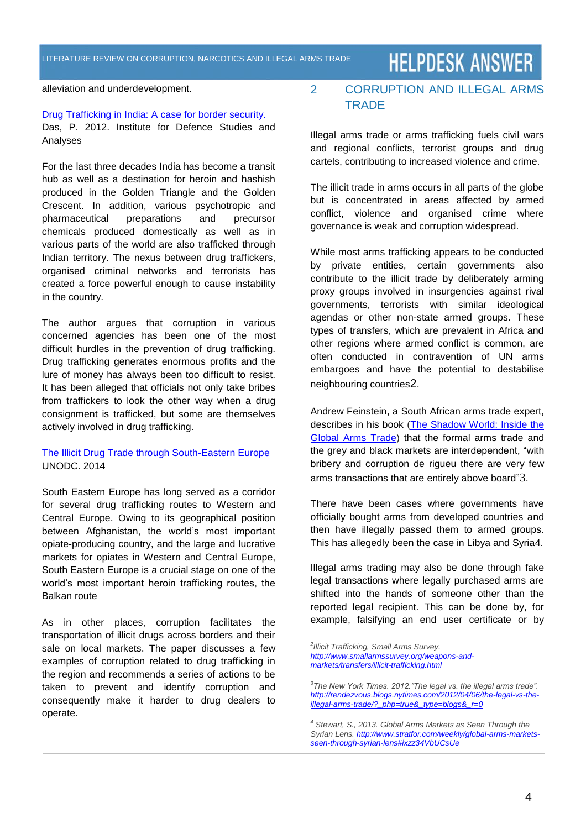alleviation and underdevelopment.

#### [Drug Trafficking in India: A case for border security.](http://idsa.in/system/files/OP_DrugTraffickinginIndia.pdf)

Das, P. 2012. Institute for Defence Studies and Analyses

For the last three decades India has become a transit hub as well as a destination for heroin and hashish produced in the Golden Triangle and the Golden Crescent. In addition, various psychotropic and pharmaceutical preparations and precursor chemicals produced domestically as well as in various parts of the world are also trafficked through Indian territory. The nexus between drug traffickers, organised criminal networks and terrorists has created a force powerful enough to cause instability in the country.

The author argues that corruption in various concerned agencies has been one of the most difficult hurdles in the prevention of drug trafficking. Drug trafficking generates enormous profits and the lure of money has always been too difficult to resist. It has been alleged that officials not only take bribes from traffickers to look the other way when a drug consignment is trafficked, but some are themselves actively involved in drug trafficking.

#### [The Illicit Drug Trade through South-Eastern Europe](http://www.unodc.org/documents/data-and-analysis/Studies/Illicit_DT_through_SEE_REPORT_2014_web.pdf) UNODC. 2014

South Eastern Europe has long served as a corridor for several drug trafficking routes to Western and Central Europe. Owing to its geographical position between Afghanistan, the world's most important opiate-producing country, and the large and lucrative markets for opiates in Western and Central Europe, South Eastern Europe is a crucial stage on one of the world's most important heroin trafficking routes, the Balkan route

As in other places, corruption facilitates the transportation of illicit drugs across borders and their sale on local markets. The paper discusses a few examples of corruption related to drug trafficking in the region and recommends a series of actions to be taken to prevent and identify corruption and consequently make it harder to drug dealers to operate.

#### 2 CORRUPTION AND ILLEGAL ARMS **TRADE**

Illegal arms trade or arms trafficking fuels civil wars and regional conflicts, terrorist groups and drug cartels, contributing to increased violence and crime.

The illicit trade in arms occurs in all parts of the globe but is concentrated in areas affected by armed conflict, violence and organised crime where governance is weak and corruption widespread.

While most arms trafficking appears to be conducted by private entities, certain governments also contribute to the illicit trade by deliberately arming proxy groups involved in insurgencies against rival governments, terrorists with similar ideological agendas or other non-state armed groups. These types of transfers, which are prevalent in Africa and other regions where armed conflict is common, are often conducted in contravention of UN arms embargoes and have the potential to destabilise neighbouring countries2.

[Andrew Feinstein,](http://www.guardian.co.uk/world/2011/oct/26/gadaffis-arms-stockpile) a South African arms trade expert, describes in his book (The Shadow World: Inside the [Global Arms Trade\)](http://www.theshadowworldbook.com/) that the formal arms trade and the grey and black markets are interdependent, "with bribery and corruption de rigueu there are very few arms transactions that are entirely above board"3.

There have been cases where governments have officially bought arms from developed countries and then have illegally passed them to armed groups. This has allegedly been the case in Libya and Syria4.

Illegal arms trading may also be done through fake legal transactions where legally purchased arms are shifted into the hands of someone other than the reported legal recipient. This can be done by, for example, falsifying an end user certificate or by

 *2 Illicit Trafficking, Small Arms Survey. [http://www.smallarmssurvey.org/weapons-and](http://www.smallarmssurvey.org/weapons-and-markets/transfers/illicit-trafficking.html)[markets/transfers/illicit-trafficking.html](http://www.smallarmssurvey.org/weapons-and-markets/transfers/illicit-trafficking.html)*

*<sup>3</sup> The New York Times. 2012."The legal vs. the illegal arms trade". [http://rendezvous.blogs.nytimes.com/2012/04/06/the-legal-vs-the](http://rendezvous.blogs.nytimes.com/2012/04/06/the-legal-vs-the-illegal-arms-trade/?_php=true&_type=blogs&_r=0)[illegal-arms-trade/?\\_php=true&\\_type=blogs&\\_r=0](http://rendezvous.blogs.nytimes.com/2012/04/06/the-legal-vs-the-illegal-arms-trade/?_php=true&_type=blogs&_r=0)*

*<sup>4</sup> Stewart, S., 2013. Global Arms Markets as Seen Through the Syrian Lens. [http://www.stratfor.com/weekly/global-arms-markets](http://www.stratfor.com/weekly/global-arms-markets-seen-through-syrian-lens#ixzz34VbUCsUe)[seen-through-syrian-lens#ixzz34VbUCsUe](http://www.stratfor.com/weekly/global-arms-markets-seen-through-syrian-lens#ixzz34VbUCsUe)*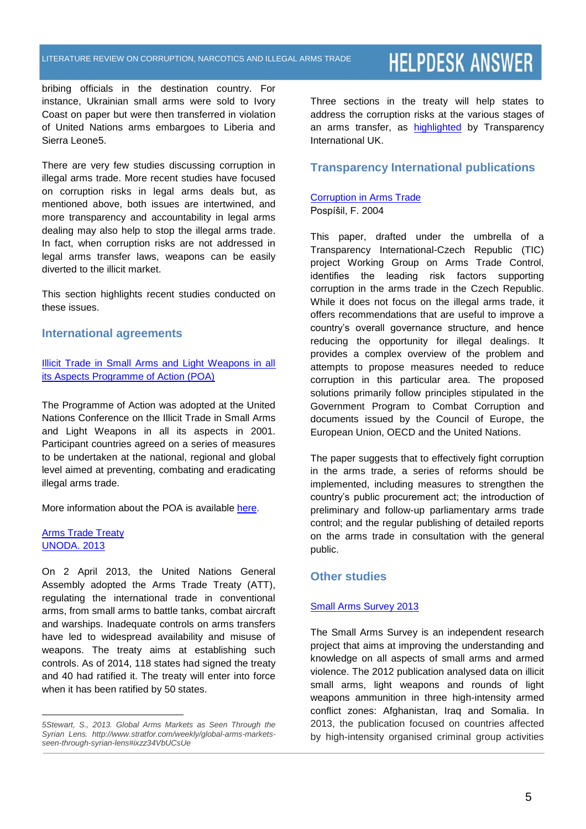bribing officials in the destination country. For instance, Ukrainian small arms were sold to Ivory Coast on paper but were then transferred in violation of United Nations arms embargoes to Liberia and Sierra Leone5.

There are very few studies discussing corruption in illegal arms trade. More recent studies have focused on corruption risks in legal arms deals but, as mentioned above, both issues are intertwined, and more transparency and accountability in legal arms dealing may also help to stop the illegal arms trade. In fact, when corruption risks are not addressed in legal arms transfer laws, weapons can be easily diverted to the illicit market.

This section highlights recent studies conducted on these issues.

#### **International agreements**

[Illicit Trade in Small Arms and Light Weapons in all](http://www.un.org/events/smallarms2006/pdf/PoA.pdf)  [its Aspects Programme of Action \(POA\)](http://www.un.org/events/smallarms2006/pdf/PoA.pdf)

The Programme of Action was adopted at the United Nations Conference on the Illicit Trade in Small Arms and Light Weapons in all its aspects in 2001. Participant countries agreed on a series of measures to be undertaken at the national, regional and global level aimed at preventing, combating and eradicating illegal arms trade.

More information about the POA is available [here.](http://www.poa-iss.org/PoA/PoA.aspx)

#### [Arms Trade Treaty](http://www.un.org/disarmament/ATT/) UNODA. 2013

 $\overline{a}$ 

On 2 April 2013, the United Nations General Assembly adopted the Arms Trade Treaty (ATT), regulating the international trade in conventional arms, from small arms to battle tanks, combat aircraft and warships. Inadequate controls on arms transfers have led to widespread availability and misuse of weapons. The treaty aims at establishing such controls. As of 2014, 118 states had signed the treaty and 40 had ratified it. The treaty will enter into force when it has been ratified by 50 states.

[Three sections in the treaty](http://www.un.org/disarmament/ATT/docs/Draft_ATT_text_27_Mar_2013-E.pdf) will help states to address the corruption risks at the various stages of an arms transfer, as [highlighted](http://www.ti-defence.org/what-we-do/international-initiatives#tabs0342) by Transparency International UK.

#### **Transparency International publications**

#### [Corruption in Arms Trade](http://zbrane.ecn.cz/cz/pdf/zbrane_eng_w.pdf) Pospíšil, F. 2004

This paper, drafted under the umbrella of a Transparency International-Czech Republic (TIC) project Working Group on Arms Trade Control, identifies the leading risk factors supporting corruption in the arms trade in the Czech Republic. While it does not focus on the illegal arms trade, it offers recommendations that are useful to improve a country's overall governance structure, and hence reducing the opportunity for illegal dealings. It provides a complex overview of the problem and attempts to propose measures needed to reduce corruption in this particular area. The proposed solutions primarily follow principles stipulated in the Government Program to Combat Corruption and documents issued by the Council of Europe, the European Union, OECD and the United Nations.

The paper suggests that to effectively fight corruption in the arms trade, a series of reforms should be implemented, including measures to strengthen the country's public procurement act; the introduction of preliminary and follow-up parliamentary arms trade control; and the regular publishing of detailed reports on the arms trade in consultation with the general public.

#### **Other studies**

#### [Small Arms Survey 2013](http://www.smallarmssurvey.org/fileadmin/docs/A-Yearbook/2013/en/Small-Arms-Survey-2013-Chapter-12-EN.pdf)

The Small Arms Survey is an independent research project that aims at improving the understanding and knowledge on all aspects of small arms and armed violence. The 2012 publication analysed data on illicit small arms, light weapons and rounds of light weapons ammunition in three high-intensity armed conflict zones: Afghanistan, Iraq and Somalia. In 2013, the publication focused on countries affected by high-intensity organised criminal group activities

*<sup>5</sup>Stewart, S., 2013. Global Arms Markets as Seen Through the Syrian Lens. [http://www.stratfor.com/weekly/global-arms-markets](http://www.stratfor.com/weekly/global-arms-markets-seen-through-syrian-lens#ixzz34VbUCsUe)[seen-through-syrian-lens#ixzz34VbUCsUe](http://www.stratfor.com/weekly/global-arms-markets-seen-through-syrian-lens#ixzz34VbUCsUe)*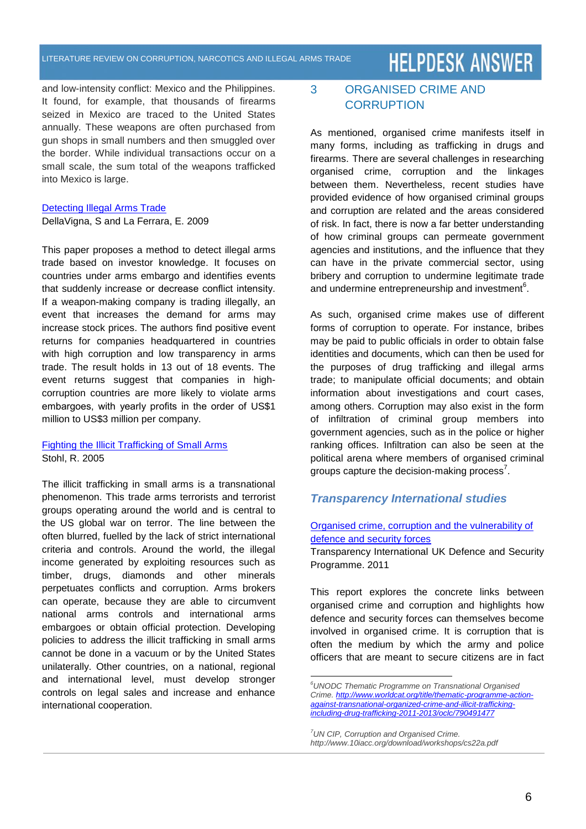#### LITERATURE REVIEW ON CORRUPTION, NARCOTICS AND ILLEGAL ARMS TRADE

### **HELPDESK ANSWER**

and low-intensity conflict: Mexico and the Philippines. It found, for example, that thousands of firearms seized in Mexico are traced to the United States annually. These weapons are often purchased from gun shops in small numbers and then smuggled over the border. While individual transactions occur on a small scale, the sum total of the weapons trafficked into Mexico is large.

#### [Detecting Illegal Arms Trade](http://eml.berkeley.edu/~sdellavi/wp/weapons_Dec09.pdf)

DellaVigna, S and La Ferrara, E. 2009

This paper proposes a method to detect illegal arms trade based on investor knowledge. It focuses on countries under arms embargo and identifies events that suddenly increase or decrease conflict intensity. If a weapon-making company is trading illegally, an event that increases the demand for arms may increase stock prices. The authors find positive event returns for companies headquartered in countries with high corruption and low transparency in arms trade. The result holds in 13 out of 18 events. The event returns suggest that companies in highcorruption countries are more likely to violate arms embargoes, with yearly profits in the order of US\$1 million to US\$3 million per company.

#### [Fighting the Illicit Trafficking of Small Arms](http://muse.jhu.edu/login?auth=0&type=summary&url=/journals/sais_review/v025/25.1stohl.html) [Stohl,](http://muse.jhu.edu/results?section1=author&search1=Rachel%20J.%20Stohl) R. 2005

The illicit trafficking in small arms is a transnational phenomenon. This trade arms terrorists and terrorist groups operating around the world and is central to the US global war on terror. The line between the often blurred, fuelled by the lack of strict international criteria and controls. Around the world, the illegal income generated by exploiting resources such as timber, drugs, diamonds and other minerals perpetuates conflicts and corruption. Arms brokers can operate, because they are able to circumvent national arms controls and international arms embargoes or obtain official protection. Developing policies to address the illicit trafficking in small arms cannot be done in a vacuum or by the United States unilaterally. Other countries, on a national, regional and international level, must develop stronger controls on legal sales and increase and enhance international cooperation.

#### 3 ORGANISED CRIME AND **CORRUPTION**

As mentioned, organised crime manifests itself in many forms, including as trafficking in drugs and firearms. There are several challenges in researching organised crime, corruption and the linkages between them. Nevertheless, recent studies have provided evidence of how organised criminal groups and corruption are related and the areas considered of risk. In fact, there is now a far better understanding of how criminal groups can permeate government agencies and institutions, and the influence that they can have in the private commercial sector, using bribery and corruption to undermine legitimate trade and undermine entrepreneurship and investment $\rm ^6$ .

As such, organised crime makes use of different forms of corruption to operate. For instance, bribes may be paid to public officials in order to obtain false identities and documents, which can then be used for the purposes of drug trafficking and illegal arms trade; to manipulate official documents; and obtain information about investigations and court cases, among others. Corruption may also exist in the form of infiltration of criminal group members into government agencies, such as in the police or higher ranking offices. Infiltration can also be seen at the political arena where members of organised criminal groups capture the decision-making process<sup>7</sup>.

#### *Transparency International studies*

#### [Organised crime, corruption and the vulnerability of](http://ti-defence.org/publications/dsp-pubs/182-dsp-pubs-organised-crime-corruption-vulnerability-defence-security-forces.html)  [defence and security forces](http://ti-defence.org/publications/dsp-pubs/182-dsp-pubs-organised-crime-corruption-vulnerability-defence-security-forces.html)

Transparency International UK Defence and Security Programme. 2011

This report explores the concrete links between organised crime and corruption and highlights how defence and security forces can themselves become involved in organised crime. It is corruption that is often the medium by which the army and police officers that are meant to secure citizens are in fact

 $\overline{a}$ 

*<sup>6</sup>UNODC Thematic Programme on Transnational Organised Crime. [http://www.worldcat.org/title/thematic-programme-action](http://www.worldcat.org/title/thematic-programme-action-against-transnational-organized-crime-and-illicit-trafficking-including-drug-trafficking-2011-2013/oclc/790491477)[against-transnational-organized-crime-and-illicit-trafficking](http://www.worldcat.org/title/thematic-programme-action-against-transnational-organized-crime-and-illicit-trafficking-including-drug-trafficking-2011-2013/oclc/790491477)[including-drug-trafficking-2011-2013/oclc/790491477](http://www.worldcat.org/title/thematic-programme-action-against-transnational-organized-crime-and-illicit-trafficking-including-drug-trafficking-2011-2013/oclc/790491477)*

*<sup>7</sup>UN CIP, Corruption and Organised Crime. http://www.10iacc.org/download/workshops/cs22a.pdf*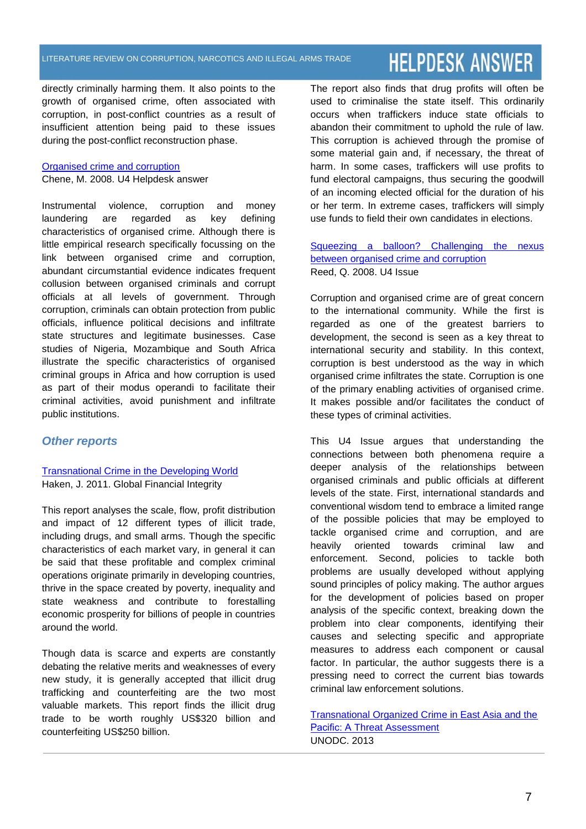directly criminally harming them. It also points to the growth of organised crime, often associated with corruption, in post-conflict countries as a result of insufficient attention being paid to these issues during the post-conflict reconstruction phase.

#### [Organised crime and corruption](https://www.google.de/url?sa=t&rct=j&q=&esrc=s&source=web&cd=7&cad=rja&uact=8&ved=0CEcQFjAG&url=http%3A%2F%2Fwww.u4.no%2Fpublications%2Forganised-crime-and-corruption%2Fdownloadasset%2F376&ei=us-aU5fSO4Oh4gSEh4DoBg&usg=AFQjCNFYujBzPuK0aAcAKGOWlDbsyjsU-g&sig2=rJ-eunl6v7xLcV_JxrCFEQ&bvm=bv.68911936,d.bGQ)

Chene, M. 2008. U4 Helpdesk answer

Instrumental violence, corruption and money laundering are regarded as key defining characteristics of organised crime. Although there is little empirical research specifically focussing on the link between organised crime and corruption, abundant circumstantial evidence indicates frequent collusion between organised criminals and corrupt officials at all levels of government. Through corruption, criminals can obtain protection from public officials, influence political decisions and infiltrate state structures and legitimate businesses. Case studies of Nigeria, Mozambique and South Africa illustrate the specific characteristics of organised criminal groups in Africa and how corruption is used as part of their modus operandi to facilitate their criminal activities, avoid punishment and infiltrate public institutions.

#### *Other reports*

#### [Transnational Crime in](http://www.gfintegrity.org/report/briefing-paper-transnational-crime/) the Developing World Haken, J. 2011. Global Financial Integrity

This report analyses the scale, flow, profit distribution and impact of 12 different types of illicit trade, including drugs, and small arms. Though the specific characteristics of each market vary, in general it can be said that these profitable and complex criminal operations originate primarily in developing countries, thrive in the space created by poverty, inequality and state weakness and contribute to forestalling economic prosperity for billions of people in countries around the world.

Though data is scarce and experts are constantly debating the relative merits and weaknesses of every new study, it is generally accepted that illicit drug trafficking and counterfeiting are the two most valuable markets. This report finds the illicit drug trade to be worth roughly US\$320 billion and counterfeiting US\$250 billion.

The report also finds that drug profits will often be used to criminalise the state itself. This ordinarily occurs when traffickers induce state officials to abandon their commitment to uphold the rule of law. This corruption is achieved through the promise of some material gain and, if necessary, the threat of harm. In some cases, traffickers will use profits to fund electoral campaigns, thus securing the goodwill of an incoming elected official for the duration of his or her term. In extreme cases, traffickers will simply use funds to field their own candidates in elections.

#### Squeezing a balloon? [Challenging the nexus](http://www.u4.no/PUBLICATIONS/SQUEEZING-A-BALLOON-CHALLENGING-THE-NEXUS-BETWEEN-ORGANISED-CRIME-AND-CORRUPTION-2/#STHASH.BGGBLJKC.DPUF)  [between organised crime and corruption](http://www.u4.no/PUBLICATIONS/SQUEEZING-A-BALLOON-CHALLENGING-THE-NEXUS-BETWEEN-ORGANISED-CRIME-AND-CORRUPTION-2/#STHASH.BGGBLJKC.DPUF) Reed, Q. 2008. U4 Issue

Corruption and organised crime are of great concern to the international community. While the first is regarded as one of the greatest barriers to development, the second is seen as a key threat to international security and stability. In this context, corruption is best understood as the way in which organised crime infiltrates the state. Corruption is one of the primary enabling activities of organised crime. It makes possible and/or facilitates the conduct of these types of criminal activities.

This U4 Issue argues that understanding the connections between both phenomena require a deeper analysis of the relationships between organised criminals and public officials at different levels of the state. First, international standards and conventional wisdom tend to embrace a limited range of the possible policies that may be employed to tackle organised crime and corruption, and are heavily oriented towards criminal law and enforcement. Second, policies to tackle both problems are usually developed without applying sound principles of policy making. The author argues for the development of policies based on proper analysis of the specific context, breaking down the problem into clear components, identifying their causes and selecting specific and appropriate measures to address each component or causal factor. In particular, the author suggests there is a pressing need to correct the current bias towards criminal law enforcement solutions.

[Transnational Organized Crime in East Asia and the](http://www.unodc.org/documents/southeastasiaandpacific/Publications/2013/TOCTA_EAP_web.pdf)  [Pacific: A Threat Assessment](http://www.unodc.org/documents/southeastasiaandpacific/Publications/2013/TOCTA_EAP_web.pdf) UNODC. 2013